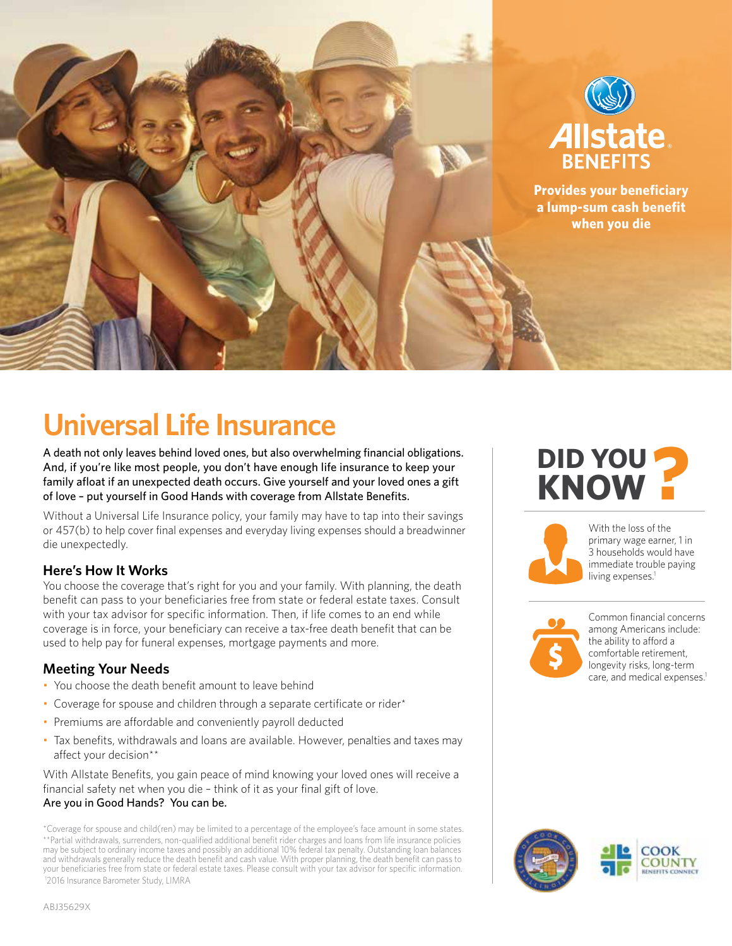

# **Universal Life Insurance**

A death not only leaves behind loved ones, but also overwhelming financial obligations. And, if you're like most people, you don't have enough life insurance to keep your family afloat if an unexpected death occurs. Give yourself and your loved ones a gift of love – put yourself in Good Hands with coverage from Allstate Benefits.

Without a Universal Life Insurance policy, your family may have to tap into their savings or 457(b) to help cover final expenses and everyday living expenses should a breadwinner die unexpectedly.

## **Here's How It Works**

You choose the coverage that's right for you and your family. With planning, the death benefit can pass to your beneficiaries free from state or federal estate taxes. Consult with your tax advisor for specific information. Then, if life comes to an end while coverage is in force, your beneficiary can receive a tax-free death benefit that can be used to help pay for funeral expenses, mortgage payments and more.

## **Meeting Your Needs**

- You choose the death benefit amount to leave behind
- Coverage for spouse and children through a separate certificate or rider\*
- Premiums are affordable and conveniently payroll deducted
- Tax benefits, withdrawals and loans are available. However, penalties and taxes may affect your decision\*\*

With Allstate Benefits, you gain peace of mind knowing your loved ones will receive a financial safety net when you die – think of it as your final gift of love. Are you in Good Hands? You can be.

# **DID YOU DID YOU KNOW ?**



With the loss of the primary wage earner, 1 in 3 households would have immediate trouble paying living expenses.<sup>1</sup>



Common financial concerns among Americans include:  $\sqrt{t}$  the ability to afford a comfortable retirement, longevity risks, long-term care, and medical expenses.<sup>1</sup>



<sup>\*</sup>Coverage for spouse and child(ren) may be limited to a percentage of the employee's face amount in some states. \*\*Partial withdrawals, surrenders, non-qualified additional benefit rider charges and loans from life insurance policies<br>may be subject to ordinary income taxes and possibly an additional 10% federal tax penalty. Outstandi and withdrawals generally reduce the death benefit and cash value. With proper planning, the death benefit can pass to your beneficiaries free from state or federal estate taxes. Please consult with your tax advisor for specific information. 1 2016 Insurance Barometer Study, LIMRA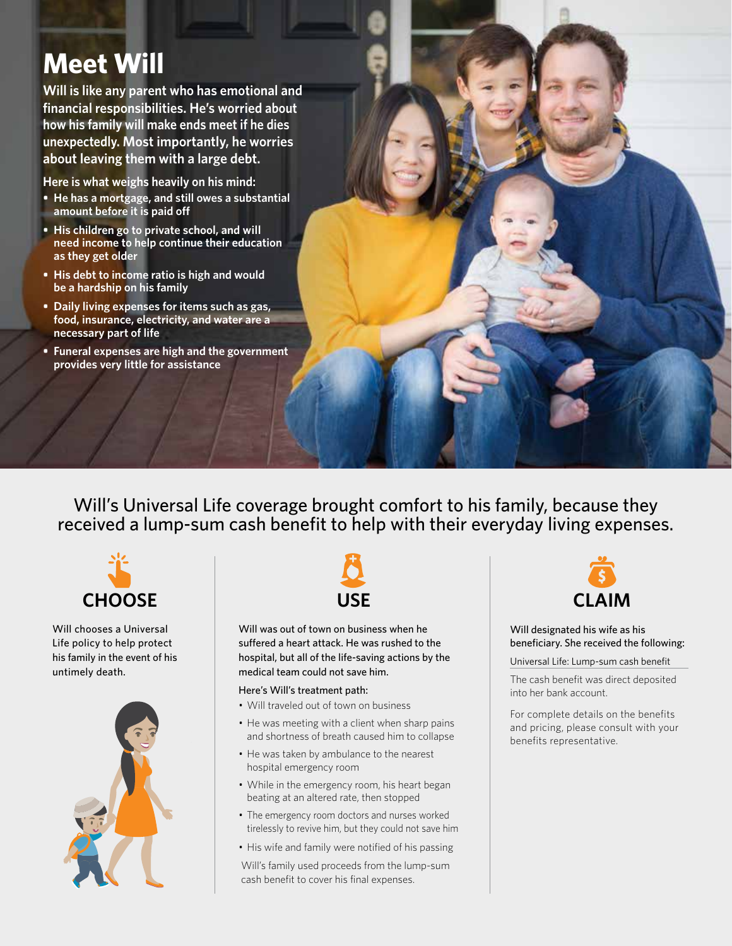# **Meet Will**

**Will is like any parent who has emotional and financial responsibilities. He's worried about how his family will make ends meet if he dies unexpectedly. Most importantly, he worries about leaving them with a large debt.**

**Here is what weighs heavily on his mind:**

- **He has a mortgage, and still owes a substantial amount before it is paid off**
- **• His children go to private school, and will need income to help continue their education as they get older**
- **• His debt to income ratio is high and would be a hardship on his family**
- **• Daily living expenses for items such as gas, food, insurance, electricity, and water are a necessary part of life**
- **• Funeral expenses are high and the government provides very little for assistance**

Will's Universal Life coverage brought comfort to his family, because they received a lump-sum cash benefit to help with their everyday living expenses.



Will chooses a Universal Life policy to help protect his family in the event of his untimely death.





Will was out of town on business when he suffered a heart attack. He was rushed to the hospital, but all of the life-saving actions by the medical team could not save him.

### Here's Will's treatment path:

- Will traveled out of town on business
- He was meeting with a client when sharp pains and shortness of breath caused him to collapse
- He was taken by ambulance to the nearest hospital emergency room
- While in the emergency room, his heart began beating at an altered rate, then stopped
- The emergency room doctors and nurses worked tirelessly to revive him, but they could not save him
- His wife and family were notified of his passing

Will's family used proceeds from the lump-sum cash benefit to cover his final expenses.



### Will designated his wife as his beneficiary. She received the following:

Universal Life: Lump-sum cash benefit

The cash benefit was direct deposited into her bank account.

For complete details on the benefits and pricing, please consult with your benefits representative.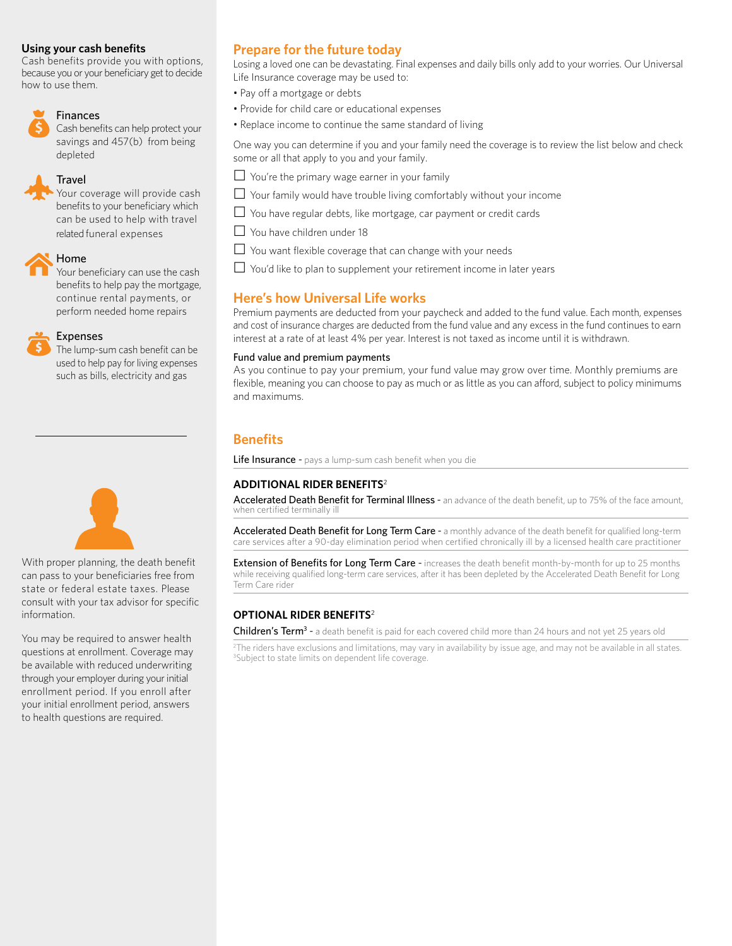### **Using your cash benefits**

Cash benefits provide you with options, because you or your beneficiary get to decide how to use them.



### Finances

Cash benefits can help protect your savings and 457(b) from being depleted

### **Travel**

Your coverage will provide cash benefits to your beneficiary which can be used to help with travel related funeral expenses



Your beneficiary can use the cash benefits to help pay the mortgage, continue rental payments, or perform needed home repairs

### Expenses

The lump-sum cash benefit can be used to help pay for living expenses such as bills, electricity and gas



With proper planning, the death benefit can pass to your beneficiaries free from state or federal estate taxes. Please consult with your tax advisor for specific information.

You may be required to answer health questions at enrollment. Coverage may be available with reduced underwriting through your employer during your initial enrollment period. If you enroll after your initial enrollment period, answers to health questions are required.

# **Prepare for the future today**

Losing a loved one can be devastating. Final expenses and daily bills only add to your worries. Our Universal Life Insurance coverage may be used to:

- Pay off a mortgage or debts
- Provide for child care or educational expenses
- Replace income to continue the same standard of living

One way you can determine if you and your family need the coverage is to review the list below and check some or all that apply to you and your family.

- $\Box$  You're the primary wage earner in your family
- $\Box$  Your family would have trouble living comfortably without your income
- $\Box$  You have regular debts, like mortgage, car payment or credit cards
- $\Box$  You have children under 18
- $\Box$  You want flexible coverage that can change with your needs
- $\Box$  You'd like to plan to supplement your retirement income in later years

### **Here's how Universal Life works**

Premium payments are deducted from your paycheck and added to the fund value. Each month, expenses and cost of insurance charges are deducted from the fund value and any excess in the fund continues to earn interest at a rate of at least 4% per year. Interest is not taxed as income until it is withdrawn.

### Fund value and premium payments

As you continue to pay your premium, your fund value may grow over time. Monthly premiums are flexible, meaning you can choose to pay as much or as little as you can afford, subject to policy minimums and maximums.

## **Benefits**

Life Insurance - pays a lump-sum cash benefit when you die

### **ADDITIONAL RIDER BENEFITS**<sup>2</sup>

Accelerated Death Benefit for Terminal Illness - an advance of the death benefit, up to 75% of the face amount, when certified terminally ill

Accelerated Death Benefit for Long Term Care - a monthly advance of the death benefit for qualified long-term care services after a 90-day elimination period when certified chronically ill by a licensed health care practitioner

Extension of Benefits for Long Term Care - increases the death benefit month-by-month for up to 25 months while receiving qualified long-term care services, after it has been depleted by the Accelerated Death Benefit for Long Term Care rider

### **OPTIONAL RIDER BENEFITS**<sup>2</sup>

Children's Term<sup>3</sup> - a death benefit is paid for each covered child more than 24 hours and not yet 25 years old

2 The riders have exclusions and limitations, may vary in availability by issue age, and may not be available in all states. <sup>3</sup>Subject to state limits on dependent life coverage.